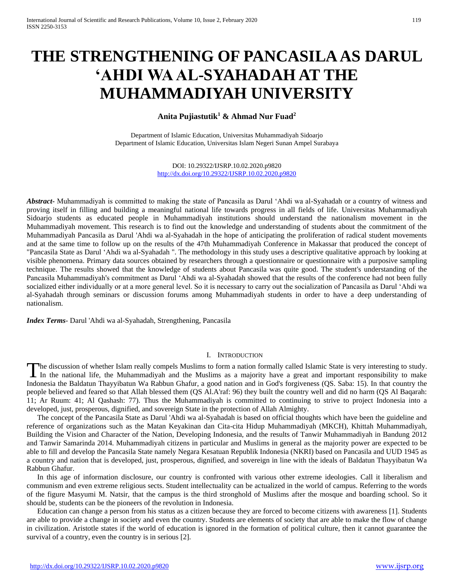# **THE STRENGTHENING OF PANCASILA AS DARUL 'AHDI WA AL-SYAHADAH AT THE MUHAMMADIYAH UNIVERSITY**

## **Anita Pujiastutik<sup>1</sup> & Ahmad Nur Fuad<sup>2</sup>**

Department of Islamic Education, Universitas Muhammadiyah Sidoarjo Department of Islamic Education, Universitas Islam Negeri Sunan Ampel Surabaya

> DOI: 10.29322/IJSRP.10.02.2020.p9820 <http://dx.doi.org/10.29322/IJSRP.10.02.2020.p9820>

*Abstract***-** Muhammadiyah is committed to making the state of Pancasila as Darul 'Ahdi wa al-Syahadah or a country of witness and proving itself in filling and building a meaningful national life towards progress in all fields of life. Universitas Muhammadiyah Sidoarjo students as educated people in Muhammadiyah institutions should understand the nationalism movement in the Muhammadiyah movement. This research is to find out the knowledge and understanding of students about the commitment of the Muhammadiyah Pancasila as Darul 'Ahdi wa al-Syahadah in the hope of anticipating the proliferation of radical student movements and at the same time to follow up on the results of the 47th Muhammadiyah Conference in Makassar that produced the concept of "Pancasila State as Darul 'Ahdi wa al-Syahadah ". The methodology in this study uses a descriptive qualitative approach by looking at visible phenomena. Primary data sources obtained by researchers through a questionnaire or questionnaire with a purposive sampling technique. The results showed that the knowledge of students about Pancasila was quite good. The student's understanding of the Pancasila Muhammadiyah's commitment as Darul 'Ahdi wa al-Syahadah showed that the results of the conference had not been fully socialized either individually or at a more general level. So it is necessary to carry out the socialization of Pancasila as Darul 'Ahdi wa al-Syahadah through seminars or discussion forums among Muhammadiyah students in order to have a deep understanding of nationalism.

*Index Terms*- Darul 'Ahdi wa al-Syahadah, Strengthening, Pancasila

### I. INTRODUCTION

he discussion of whether Islam really compels Muslims to form a nation formally called Islamic State is very interesting to study. The discussion of whether Islam really compels Muslims to form a nation formally called Islamic State is very interesting to study.<br>In the national life, the Muhammadiyah and the Muslims as a majority have a great and impo Indonesia the Baldatun Thayyibatun Wa Rabbun Ghafur, a good nation and in God's forgiveness (QS. Saba: 15). In that country the people believed and feared so that Allah blessed them (QS Al.A'raf: 96) they built the country well and did no harm (QS Al Baqarah: 11; Ar Ruum: 41; Al Qashash: 77). Thus the Muhammadiyah is committed to continuing to strive to project Indonesia into a developed, just, prosperous, dignified, and sovereign State in the protection of Allah Almighty.

The concept of the Pancasila State as Darul 'Ahdi wa al-Syahadah is based on official thoughts which have been the guideline and reference of organizations such as the Matan Keyakinan dan Cita-cita Hidup Muhammadiyah (MKCH), Khittah Muhammadiyah, Building the Vision and Character of the Nation, Developing Indonesia, and the results of Tanwir Muhammadiyah in Bandung 2012 and Tanwir Samarinda 2014. Muhammadiyah citizens in particular and Muslims in general as the majority power are expected to be able to fill and develop the Pancasila State namely Negara Kesatuan Republik Indonesia (NKRI) based on Pancasila and UUD 1945 as a country and nation that is developed, just, prosperous, dignified, and sovereign in line with the ideals of Baldatun Thayyibatun Wa Rabbun Ghafur.

In this age of information disclosure, our country is confronted with various other extreme ideologies. Call it liberalism and communism and even extreme religious sects. Student intellectuality can be actualized in the world of campus. Referring to the words of the figure Masyumi M. Natsir, that the campus is the third stronghold of Muslims after the mosque and boarding school. So it should be, students can be the pioneers of the revolution in Indonesia.

Education can change a person from his status as a citizen because they are forced to become citizens with awareness [1]. Students are able to provide a change in society and even the country. Students are elements of society that are able to make the flow of change in civilization. Aristotle states if the world of education is ignored in the formation of political culture, then it cannot guarantee the survival of a country, even the country is in serious [2].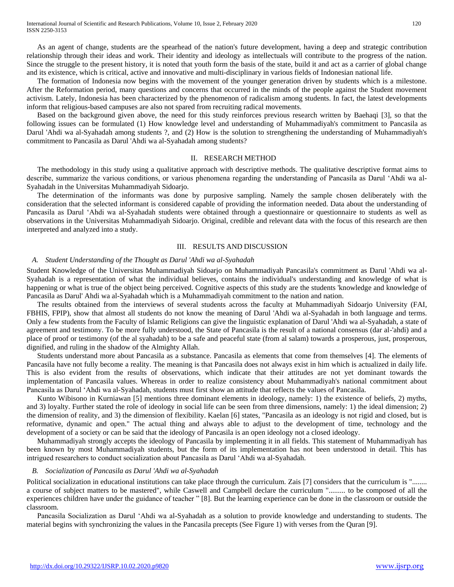As an agent of change, students are the spearhead of the nation's future development, having a deep and strategic contribution relationship through their ideas and work. Their identity and ideology as intellectuals will contribute to the progress of the nation. Since the struggle to the present history, it is noted that youth form the basis of the state, build it and act as a carrier of global change and its existence, which is critical, active and innovative and multi-disciplinary in various fields of Indonesian national life.

The formation of Indonesia now begins with the movement of the younger generation driven by students which is a milestone. After the Reformation period, many questions and concerns that occurred in the minds of the people against the Student movement activism. Lately, Indonesia has been characterized by the phenomenon of radicalism among students. In fact, the latest developments inform that religious-based campuses are also not spared from recruiting radical movements.

Based on the background given above, the need for this study reinforces previous research written by Baehaqi [3], so that the following issues can be formulated (1) How knowledge level and understanding of Muhammadiyah's commitment to Pancasila as Darul 'Ahdi wa al-Syahadah among students ?, and (2) How is the solution to strengthening the understanding of Muhammadiyah's commitment to Pancasila as Darul 'Ahdi wa al-Syahadah among students?

#### II. RESEARCH METHOD

The methodology in this study using a qualitative approach with descriptive methods. The qualitative descriptive format aims to describe, summarize the various conditions, or various phenomena regarding the understanding of Pancasila as Darul 'Ahdi wa al-Syahadah in the Universitas Muhammadiyah Sidoarjo.

The determination of the informants was done by purposive sampling. Namely the sample chosen deliberately with the consideration that the selected informant is considered capable of providing the information needed. Data about the understanding of Pancasila as Darul 'Ahdi wa al-Syahadah students were obtained through a questionnaire or questionnaire to students as well as observations in the Universitas Muhammadiyah Sidoarjo. Original, credible and relevant data with the focus of this research are then interpreted and analyzed into a study.

#### III. RESULTS AND DISCUSSION

#### *A. Student Understanding of the Thought as Darul 'Ahdi wa al-Syahadah*

Student Knowledge of the Universitas Muhammadiyah Sidoarjo on Muhammadiyah Pancasila's commitment as Darul 'Ahdi wa al-Syahadah is a representation of what the individual believes, contains the individual's understanding and knowledge of what is happening or what is true of the object being perceived. Cognitive aspects of this study are the students 'knowledge and knowledge of Pancasila as Darul' Ahdi wa al-Syahadah which is a Muhammadiyah commitment to the nation and nation.

The results obtained from the interviews of several students across the faculty at Muhammadiyah Sidoarjo University (FAI, FBHIS, FPIP), show that almost all students do not know the meaning of Darul 'Ahdi wa al-Syahadah in both language and terms. Only a few students from the Faculty of Islamic Religions can give the linguistic explanation of Darul 'Ahdi wa al-Syahadah, a state of agreement and testimony. To be more fully understood, the State of Pancasila is the result of a national consensus (dar al-'ahdi) and a place of proof or testimony (of the al syahadah) to be a safe and peaceful state (from al salam) towards a prosperous, just, prosperous, dignified, and ruling in the shadow of the Almighty Allah.

Students understand more about Pancasila as a substance. Pancasila as elements that come from themselves [4]. The elements of Pancasila have not fully become a reality. The meaning is that Pancasila does not always exist in him which is actualized in daily life. This is also evident from the results of observations, which indicate that their attitudes are not yet dominant towards the implementation of Pancasila values. Whereas in order to realize consistency about Muhammadiyah's national commitment about Pancasila as Darul 'Ahdi wa al-Syahadah, students must first show an attitude that reflects the values of Pancasila.

Kunto Wibisono in Kurniawan [5] mentions three dominant elements in ideology, namely: 1) the existence of beliefs, 2) myths, and 3) loyalty. Further stated the role of ideology in social life can be seen from three dimensions, namely: 1) the ideal dimension; 2) the dimension of reality, and 3) the dimension of flexibility. Kaelan [6] states, "Pancasila as an ideology is not rigid and closed, but is reformative, dynamic and open." The actual thing and always able to adjust to the development of time, technology and the development of a society or can be said that the ideology of Pancasila is an open ideology not a closed ideology.

Muhammadiyah strongly accepts the ideology of Pancasila by implementing it in all fields. This statement of Muhammadiyah has been known by most Muhammadiyah students, but the form of its implementation has not been understood in detail. This has intrigued researchers to conduct socialization about Pancasila as Darul 'Ahdi wa al-Syahadah.

#### *B. Socialization of Pancasila as Darul 'Ahdi wa al-Syahadah*

Political socialization in educational institutions can take place through the curriculum. Zais [7] considers that the curriculum is "........ a course of subject matters to be mastered", while Caswell and Campbell declare the curriculum "......... to be composed of all the experiences children have under the guidance of teacher " [8]. But the learning experience can be done in the classroom or outside the classroom.

Pancasila Socialization as Darul 'Ahdi wa al-Syahadah as a solution to provide knowledge and understanding to students. The material begins with synchronizing the values in the Pancasila precepts (See Figure 1) with verses from the Quran [9].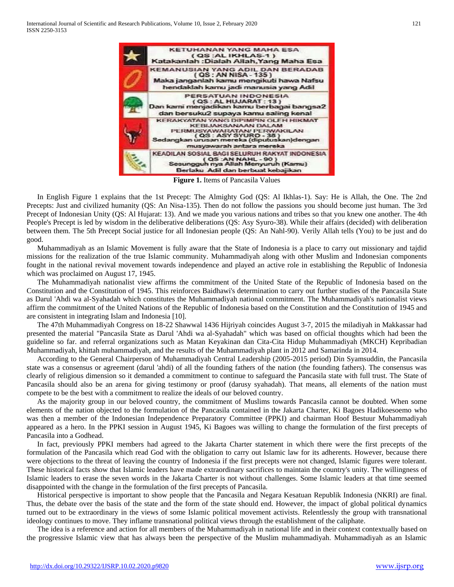

**Figure 1.** Items of Pancasila Values

In English Figure 1 explains that the 1st Precept: The Almighty God (QS: Al Ikhlas-1). Say: He is Allah, the One. The 2nd Precepts: Just and civilized humanity (QS: An Nisa-135). Then do not follow the passions you should become just human. The 3rd Precept of Indonesian Unity (QS: Al Hujarat: 13). And we made you various nations and tribes so that you knew one another. The 4th People's Precept is led by wisdom in the deliberative deliberations (QS: Asy Syuro-38). While their affairs (decided) with deliberation between them. The 5th Precept Social justice for all Indonesian people (QS: An Nahl-90). Verily Allah tells (You) to be just and do good.

Muhammadiyah as an Islamic Movement is fully aware that the State of Indonesia is a place to carry out missionary and tajdid missions for the realization of the true Islamic community. Muhammadiyah along with other Muslim and Indonesian components fought in the national revival movement towards independence and played an active role in establishing the Republic of Indonesia which was proclaimed on August 17, 1945.

The Muhammadiyah nationalist view affirms the commitment of the United State of the Republic of Indonesia based on the Constitution and the Constitution of 1945. This reinforces Baidhawi's determination to carry out further studies of the Pancasila State as Darul 'Ahdi wa al-Syahadah which constitutes the Muhammadiyah national commitment. The Muhammadiyah's nationalist views affirm the commitment of the United Nations of the Republic of Indonesia based on the Constitution and the Constitution of 1945 and are consistent in integrating Islam and Indonesia [10].

The 47th Muhammadiyah Congress on 18-22 Shawwal 1436 Hijriyah coincides August 3-7, 2015 the miladiyah in Makkassar had presented the material "Pancasila State as Darul 'Ahdi wa al-Syahadah" which was based on official thoughts which had been the guideline so far. and referral organizations such as Matan Keyakinan dan Cita-Cita Hidup Muhammadiyah (MKCH) Kepribadian Muhammadiyah, khittah muhammadiyah, and the results of the Muhammadiyah plant in 2012 and Samarinda in 2014.

According to the General Chairperson of Muhammadiyah Central Leadership (2005-2015 period) Din Syamsuddin, the Pancasila state was a consensus or agreement (darul 'ahdi) of all the founding fathers of the nation (the founding fathers). The consensus was clearly of religious dimension so it demanded a commitment to continue to safeguard the Pancasila state with full trust. The State of Pancasila should also be an arena for giving testimony or proof (darusy syahadah). That means, all elements of the nation must compete to be the best with a commitment to realize the ideals of our beloved country.

As the majority group in our beloved country, the commitment of Muslims towards Pancasila cannot be doubted. When some elements of the nation objected to the formulation of the Pancasila contained in the Jakarta Charter, Ki Bagoes Hadikoesoemo who was then a member of the Indonesian Independence Preparatory Committee (PPKI) and chairman Hoof Bestuur Muhammadiyah appeared as a hero. In the PPKI session in August 1945, Ki Bagoes was willing to change the formulation of the first precepts of Pancasila into a Godhead.

In fact, previously PPKI members had agreed to the Jakarta Charter statement in which there were the first precepts of the formulation of the Pancasila which read God with the obligation to carry out Islamic law for its adherents. However, because there were objections to the threat of leaving the country of Indonesia if the first precepts were not changed, Islamic figures were tolerant. These historical facts show that Islamic leaders have made extraordinary sacrifices to maintain the country's unity. The willingness of Islamic leaders to erase the seven words in the Jakarta Charter is not without challenges. Some Islamic leaders at that time seemed disappointed with the change in the formulation of the first precepts of Pancasila.

Historical perspective is important to show people that the Pancasila and Negara Kesatuan Republik Indonesia (NKRI) are final. Thus, the debate over the basis of the state and the form of the state should end. However, the impact of global political dynamics turned out to be extraordinary in the views of some Islamic political movement activists. Relentlessly the group with transnational ideology continues to move. They inflame transnational political views through the establishment of the caliphate.

The idea is a reference and action for all members of the Muhammadiyah in national life and in their context contextually based on the progressive Islamic view that has always been the perspective of the Muslim muhammadiyah. Muhammadiyah as an Islamic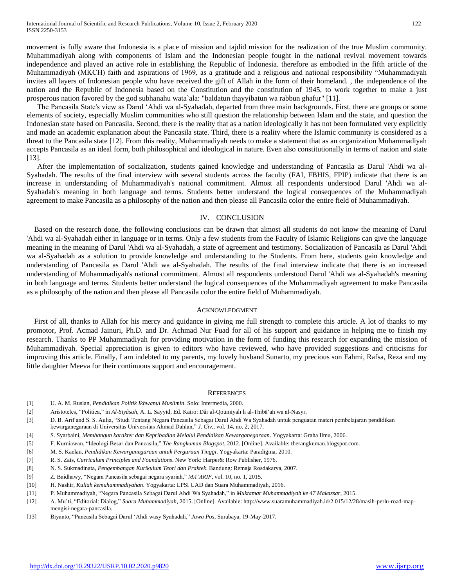movement is fully aware that Indonesia is a place of mission and tajdid mission for the realization of the true Muslim community. Muhammadiyah along with components of Islam and the Indonesian people fought in the national revival movement towards independence and played an active role in establishing the Republic of Indonesia. therefore as embodied in the fifth article of the Muhammadiyah (MKCH) faith and aspirations of 1969, as a gratitude and a religious and national responsibility "Muhammadiyah invites all layers of Indonesian people who have received the gift of Allah in the form of their homeland. , the independence of the nation and the Republic of Indonesia based on the Constitution and the constitution of 1945, to work together to make a just prosperous nation favored by the god subhanahu wata`ala: "baldatun thayyibatun wa rabbun ghafur" [11].

The Pancasila State's view as Darul 'Ahdi wa al-Syahadah, departed from three main backgrounds. First, there are groups or some elements of society, especially Muslim communities who still question the relationship between Islam and the state, and question the Indonesian state based on Pancasila. Second, there is the reality that as a nation ideologically it has not been formulated very explicitly and made an academic explanation about the Pancasila state. Third, there is a reality where the Islamic community is considered as a threat to the Pancasila state [12]. From this reality, Muhammadiyah needs to make a statement that as an organization Muhammadiyah accepts Pancasila as an ideal form, both philosophical and ideological in nature. Even also constitutionally in terms of nation and state [13].

After the implementation of socialization, students gained knowledge and understanding of Pancasila as Darul 'Ahdi wa al-Syahadah. The results of the final interview with several students across the faculty (FAI, FBHIS, FPIP) indicate that there is an increase in understanding of Muhammadiyah's national commitment. Almost all respondents understood Darul 'Ahdi wa al-Syahadah's meaning in both language and terms. Students better understand the logical consequences of the Muhammadiyah agreement to make Pancasila as a philosophy of the nation and then please all Pancasila color the entire field of Muhammadiyah.

#### IV. CONCLUSION

Based on the research done, the following conclusions can be drawn that almost all students do not know the meaning of Darul 'Ahdi wa al-Syahadah either in language or in terms. Only a few students from the Faculty of Islamic Religions can give the language meaning in the meaning of Darul 'Ahdi wa al-Syahadah, a state of agreement and testimony. Socialization of Pancasila as Darul 'Ahdi wa al-Syahadah as a solution to provide knowledge and understanding to the Students. From here, students gain knowledge and understanding of Pancasila as Darul 'Ahdi wa al-Syahadah. The results of the final interview indicate that there is an increased understanding of Muhammadiyah's national commitment. Almost all respondents understood Darul 'Ahdi wa al-Syahadah's meaning in both language and terms. Students better understand the logical consequences of the Muhammadiyah agreement to make Pancasila as a philosophy of the nation and then please all Pancasila color the entire field of Muhammadiyah.

#### ACKNOWLEDGMENT

First of all, thanks to Allah for his mercy and guidance in giving me full strength to complete this article. A lot of thanks to my promotor, Prof. Acmad Jainuri, Ph.D. and Dr. Achmad Nur Fuad for all of his support and guidance in helping me to finish my research. Thanks to PP Muhammadiyah for providing motivation in the form of funding this research for expanding the mission of Muhammadiyah. Special appreciation is given to editors who have reviewed, who have provided suggestions and criticisms for improving this article. Finally, I am indebted to my parents, my lovely husband Sunarto, my precious son Fahmi, Rafsa, Reza and my little daughter Meeva for their continuous support and encouragement.

#### **REFERENCES**

- [1] U. A. M. Ruslan, *Pendidikan Politik Ikhwanul Muslimin*. Solo: Intermedia, 2000.
- [2] Aristoteles, "Politiea," in *Al-Siyâsah*, A. L. Sayyid, Ed. Kairo: Dâr al-Qoumiyah li al-Thibâ'ah wa al-Nasyr.
- [3] D. B. Arif and S. S. Aulia, "Studi Tentang Negara Pancasila Sebagai Darul Ahdi Wa Syahadah untuk penguatan materi pembelajaran pendidikan kewarganegaraan di Universitas Universitas Ahmad Dahlan," *J. Civ.*, vol. 14, no. 2, 2017.
- [4] S. Syarbaini, *Membangun karakter dan Kepribadian Melalui Pendidikan Kewarganegaraan*. Yogyakarta: Graha Ilmu, 2006.
- [5] F. Kurniawan, "Ideologi Besar dan Pancasila," *The Rangkuman Blogspot*, 2012. [Online]. Available: therangkuman.blogspot.com.
- [6] M. S. Kaelan, *Pendidikan Kewarganegaraan untuk Perguruan Tinggi*. Yogyakarta: Paradigma, 2010.
- [7] R. S. Zais, *Curriculum Principles and Foundations*. New York: Harper& Row Publisher, 1976.
- [8] N. S. Sukmadinata, *Pengembangan Kurikulum Teori dan Praktek*. Bandung: Remaja Rosdakarya, 2007.
- [9] Z. Baidhawy, "Negara Pancasila sebagai negara syariah," *MA'ARIF*, vol. 10, no. 1, 2015.
- [10] H. Nashir, *Kuliah kemuhammadiyahan*. Yogyakarta: LPSI UAD dan Suara Muhammadiyah, 2016.
- [11] P. Muhammadiyah, "Negara Pancasila Sebagai Darul Ahdi Wa Syahadah," in *Muktamar Muhammadiyah ke 47 Makassar*, 2015.
- [12] A. Mu'ti, "Editorial: Dialog," *Suara Muhammadiyah*, 2015. [Online]. Available: http://www.suaramuhammadiyah.id/2 015/12/28/masih-perlu-road-mapmengisi-negara-pancasila.
- [13] Biyanto, "Pancasila Sebagai Darul 'Ahdi wasy Syahadah," *Jawa Pos*, Surabaya, 19-May-2017.